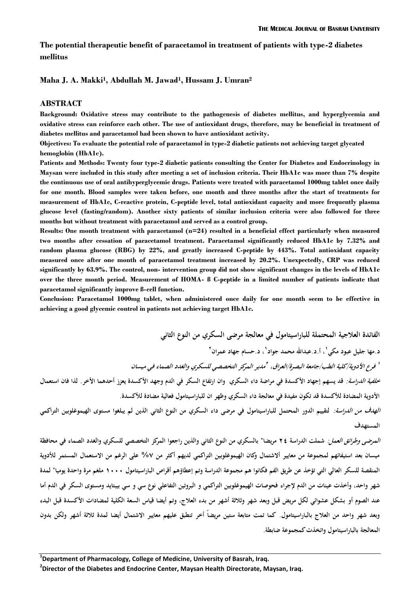**The potential therapeutic benefit of paracetamol in treatment of patients with type-2 diabetes mellitus**

#### **Maha J. A. Makki<sup>1</sup> , Abdullah M. Jawad<sup>1</sup> , Hussam J. Umran<sup>2</sup>**

#### **ABSTRACT**

**Background: Oxidative stress may contribute to the pathogenesis of diabetes mellitus, and hyperglycemia and oxidative stress can reinforce each other. The use of antioxidant drugs, therefore, may be beneficial in treatment of diabetes mellitus and paracetamol had been shown to have antioxidant activity.**

**Objectives: To evaluate the potential role of paracetamol in type-2 diabetic patients not achieving target glycated hemoglobin (HbA1c).**

**Patients and Methods: Twenty four type-2 diabetic patients consulting the Center for Diabetes and Endocrinology in Maysan were included in this study after meeting a set of inclusion criteria. Their HbA1c was more than 7% despite the continuous use of oral antihyperglycemic drugs. Patients were treated with paracetamol 1000mg tablet once daily for one month. Blood samples were taken before, one month and three months after the start of treatments for measurement of HbA1c, C-reactive protein, C-peptide level, total antioxidant capacity and more frequently plasma glucose level (fasting/random). Another sixty patients of similar inclusion criteria were also followed for three months but without treatment with paracetamol and served as a control group.**

**Results: One month treatment with paracetamol (n=24) resulted in a beneficial effect particularly when measured two months after cessation of paracetamol treatment. Paracetamol significantly reduced HbA1c by 7.32% and random plasma glucose (RBG) by 22%, and greatly increased C-peptide by 443%. Total antioxidant capacity measured once after one month of paracetamol treatment increased by 20.2%. Unexpectedly, CRP was reduced significantly by 63.9%. The control, non- intervention group did not show significant changes in the levels of HbA1c over the three month period. Measurement of HOMA- ß C-peptide in a limited number of patients indicate that paracetamol significantly improve ß-cell function.**

**Conclusion: Paracetamol 1000mg tablet, when administered once daily for one month seem to be effective in achieving a good glycemic control in patients not achieving target HbA1c.**

**د.مها جليل عبود مكي ٢ ، د.حسام جهاد عمران <sup>١</sup> ، أ.د.عبداالله محمد جواد <sup>١</sup>**

الفائدة العلاجية المحتملة للباراسيتامول في معالجة مرضى السكري من النوع الثاني

' فرع الأدوية/كلية الطب/جامعة البصرة/العراق، <sup>٢</sup>مامير المركز التخصصي للسكري والغلد الصماء في ميسان

*خلفية الدراسة:* **قد يسهم إجهاد الأكسدة في مر اضة داء السكري وان ارتفاع السكر في الدم وجهد الأكسدة يعزز أحدهما الأخر. لذا فان استعمال الأدوية المضادة للأكسدة قد تكون مفيدة في معالجة داء السكري وظهر ان للباراسيتامول فعالية مضادة للأكسدة.** 

*الهدف من الدراسة:* **لتقييم الدور المحتمل للباراسيتامول في مرضى داء السكري من النوع الثاني الذين لم يبلغوا مستوى الهيموغلوبين التراكمي المستهدف** 

*المرضى وطرائق العمل:* **شملت الدراسة ٢٤ مريضا" بالسكري من النوع الثاني والذين راجعوا المركز التخصصي للسكري والغدد الصماء في محافظة ميسان بعد استيفائهم لمجموعة من معايير ألاشتمال وكان الهيموغلوبين التراكمي لديهم أكثر من %٧ على الرغم من الاستعمال المستمر للأدوية المنقصة للسكر العالي التي تؤخذ عن طريق الفم فكانوا هم مجموعة الدراسة وتم إعطاؤهم أقراص الباراسيتامول ١٠٠٠ ملغم مرة واحدة يوميا" لمدة شهر واحد، وأخذت عينات من الدم لإجراء فحوصات الهيموغلوبين التراكمي و البروتين التفاعلي نوع سي و سي بيبتايد ومستوى السكر في الدم أما عند الصوم أو بشكل عشوائي لكل مريض قبل وبعد شهر وثلاثة أشهر من بدء العلاج، وتم أيضا قياس السعة الكلية لمضادات الأكسدة قبل البدء وبعد شهر واحد من العلاج بالباراسيتامول. كما تمت متابعة ستين مريضاً أخر تنطبق عليهم معايير الاشتمال أيضا لمدة ثلاثة أشهر ولكن بدون المعالجة بالباراسيتامول واتخذت كمجموعة ضابطة.**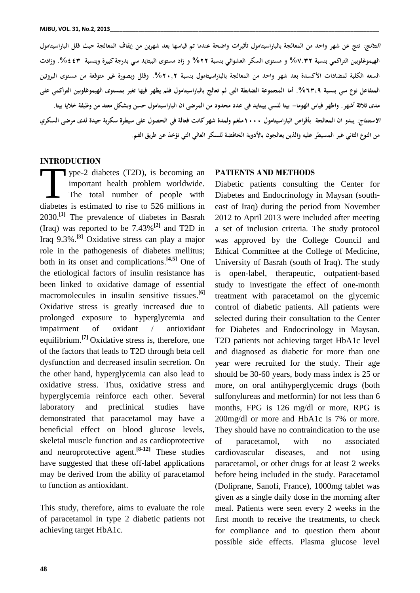*النتائج:* **نتج عن شهر واحد من المعالجة بالباراسيتامول تأثيرات واضحة عندما تم قياسها بعد شهرين من إيقاف المعالجة حيث قلل الباراسيتامول الهيموغلوبين التراكمي بنسبة %٧.٣٢ و مستوى السكر العشوائي بنسبة %٢٢ و زاد مستوى الببتايد سي بدرجة كبيرة وبنسبة .%٤٤٣ وزادت السعه الكلية لمضادات الأكسدة بعد شهر واحد من المعالجة بالباراسيتامول بنسبة .%٢٠,٢ وقلل وبصورة غير متوقعة من مستوى البروتين المتفاعل نوع سي بنسبة .%٦٣،٩ أما المجموعة الضابطة التي لم تعالج بالباراسيتامول فلم يظهر فيها تغير بمستوى الهيموغلوبين التراكمي على مدى ثلاثة أشهر. واظهر قياس الهوما- بيتا للسي بيبتايد في عدد محدود من المرضى ان الباراسيتامول حسن وبشكل معتد من وظيفة خلايا بيتا.**  /لاس*تنتاج:* يبدو ان المعالجة بأقراص الباراسيتامول ١٠٠٠ملغم ولمدة شهر كانت فعالة في الحصول على سيطرة سكرية جيدة لدى مرضى السكري<br>من النوع الثاني غير المسيطر عليه والذين يعالجون بالأدوية الخافضة للسكر العالي التي تؤخذ عن ط

### **INTRODUCTION**

ype-2 diabetes (T2D), is becoming an important health problem worldwide. The total number of people with Type-2 diabetes (T2D), is becoming an<br>important health problem worldwide. Diabe<br>The total number of people with Diabe<br>diabetes is estimated to rise to 526 millions in east of 2030.<sup>[1]</sup> The prevalence of diabetes in Basrah 2012 t (Iraq) was reported to be 7.43%**[2]** and T2D in Iraq 9.3%.**[3]** Oxidative stress can play a major role in the pathogenesis of diabetes mellitus; both in its onset and complications.<sup>[4,5]</sup> One of Un the etiological factors of insulin resistance has been linked to oxidative damage of essential macromolecules in insulin sensitive tissues. **[6]** Oxidative stress is greatly increased due to prolonged exposure to hyperglycemia and impairment of oxidant / antioxidant equilibrium.**[7]** Oxidative stress is, therefore, one of the factors that leads to T2D through beta cell dysfunction and decreased insulin secretion. On the other hand, hyperglycemia can also lead to oxidative stress. Thus, oxidative stress and hyperglycemia reinforce each other. Several laboratory and preclinical studies have demonstrated that paracetamol may have a beneficial effect on blood glucose levels, skeletal muscle function and as cardioprotective and neuroprotective agent.<sup>[8-12]</sup> These studies card have suggested that these off-label applications may be derived from the ability of paracetamol to function as antioxidant.

This study, therefore, aims to evaluate the role of paracetamol in type 2 diabetic patients not achieving target HbA1c.

### **PATIENTS AND METHODS**

Diabetic patients consulting the Center for Diabetes and Endocrinology in Maysan (south east of Iraq) during the period from November 2012 to April 2013 were included after meeting a set of inclusion criteria. The study protocol was approved by the College Council and Ethical Committee at the College of Medicine, University of Basrah (south of Iraq). The study is open-label, therapeutic, outpatient-based study to investigate the effect of one-month treatment with paracetamol on the glycemic control of diabetic patients. All patients were selected during their consultation to the Center for Diabetes and Endocrinology in Maysan. T2D patients not achieving target HbA1c level and diagnosed as diabetic for more than one year were recruited for the study. Their age should be 30-60 years, body mass index is 25 or more, on oral antihyperglycemic drugs (both sulfonylureas and metformin) for not less than 6 months, FPG is 126 mg/dl or more, RPG is 200mg/dl or more and HbA1c is 7% or more. They should have no contraindication to the use paracetamol, with no associated cardiovascular diseases, and not using paracetamol, or other drugs for at least 2 weeks before being included in the study. Paracetamol (Doliprane, Sanofi, France), 1000mg tablet was given as a single daily dose in the morning after meal. Patients were seen every 2 weeks in the first month to receive the treatments, to check for compliance and to question them about possible side effects. Plasma glucose level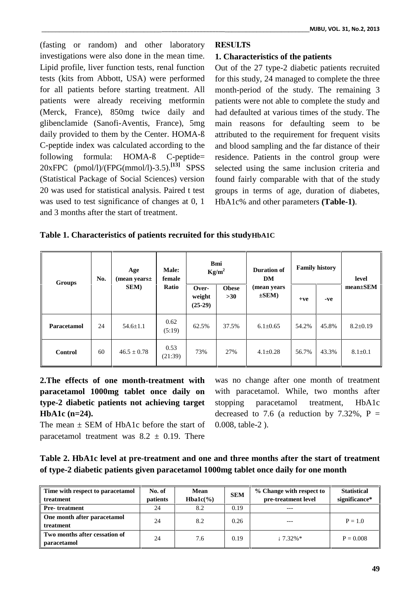(fasting or random) and other laboratory investigations were also done in the mean time. Lipid profile, liver function tests, renal function tests (kits from Abbott, USA) were performed for all patients before starting treatment. All patients were already receiving metformin (Merck, France), 850mg twice daily and glibenclamide (Sanofi-Aventis, France), 5mg daily provided to them by the Center. HOMA-ß C-peptide index was calculated according to the following formula: HOMA-ß C-peptide= 20xFPC (pmol/l)/(FPG(mmol/l)-3.5). **[13]** SPSS (Statistical Package of Social Sciences) version 20 was used for statistical analysis. Paired t test was used to test significance of changes at 0, 1 and 3 months after the start of treatment.

# **RESULTS**

### **1. Characteristics of the patients**

Out of the 27 type-2 diabetic patients recruited for this study, 24 managed to complete the three month-period of the study. The remaining 3 patients were not able to complete the study and had defaulted at various times of the study. The main reasons for defaulting seem to be attributed to the requirement for frequent visits and blood sampling and the far distance of their residence. Patients in the control group were selected using the same inclusion criteria and found fairly comparable with that of the study groups in terms of age, duration of diabetes, HbA1c% and other parameters **(Table-1)**.

# **Table 1. Characteristics of patients recruited for this studyHbA1C**

| <b>Groups</b>  | No. | Age<br>(mean years $\pm$<br><b>SEM</b> ) | Male:<br>female<br>Ratio | <b>Bmi</b><br>$Kg/m^2$       |                       | <b>Duration of</b><br>DM   | <b>Family history</b> |       | level          |
|----------------|-----|------------------------------------------|--------------------------|------------------------------|-----------------------|----------------------------|-----------------------|-------|----------------|
|                |     |                                          |                          | Over-<br>weight<br>$(25-29)$ | <b>Obese</b><br>$>30$ | (mean years)<br>$\pm$ SEM) | $+ve$                 | -ve   | mean±SEM       |
| Paracetamol    | 24  | $54.6 \pm 1.1$                           | 0.62<br>(5:19)           | 62.5%                        | 37.5%                 | $6.1 \pm 0.65$             | 54.2%                 | 45.8% | $8.2 \pm 0.19$ |
| <b>Control</b> | 60  | $46.5 \pm 0.78$                          | 0.53<br>(21:39)          | 73%                          | 27%                   | $4.1 \pm 0.28$             | 56.7%                 | 43.3% | $8.1 \pm 0.1$  |

**2.The effects of one month-treatment with paracetamol 1000mg tablet once daily on type-2 diabetic patients not achieving target HbA1c (n=24).**

The mean  $\pm$  SEM of HbA1c before the start of paracetamol treatment was  $8.2 \pm 0.19$ . There

was no change after one month of treatment with paracetamol. While, two months after paracetamol treatment, HbA1c decreased to 7.6 (a reduction by 7.32%,  $P =$ 0.008, table-2 ).

| Table 2. HbA1c level at pre-treatment and one and three months after the start of treatment |  |
|---------------------------------------------------------------------------------------------|--|
| of type-2 diabetic patients given paracetamol 1000mg tablet once daily for one month        |  |

| Time with respect to paracetamol<br>treatment | No. of<br>patients | Mean<br>$Hba1c(\%)$ | <b>SEM</b> | % Change with respect to<br>pre-treatment level | <b>Statistical</b><br>significance* |
|-----------------------------------------------|--------------------|---------------------|------------|-------------------------------------------------|-------------------------------------|
| <b>Pre-treatment</b>                          | 24                 | 8.2                 | 0.19       | $---$                                           |                                     |
| One month after paracetamol<br>treatment      | 24                 | 8.2                 | 0.26       |                                                 | $P = 1.0$                           |
| Two months after cessation of<br>paracetamol  | 24                 | 7.6                 | 0.19       | $7.32\%*$                                       | $P = 0.008$                         |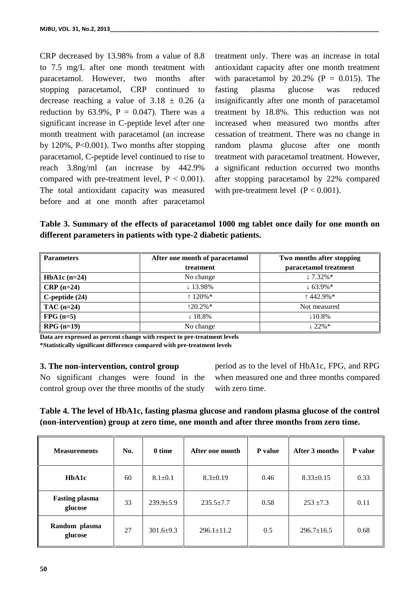CRP decreased by 13.98% from a value of 8.8 to 7.5 mg/L after one month treatment with paracetamol. However, two months after stopping paracetamol, CRP continued to fasting decrease reaching a value of  $3.18 \pm 0.26$  (a reduction by 63.9%,  $P = 0.047$ ). There was a significant increase in C-peptide level after one month treatment with paracetamol (an increase by  $120\%$ ,  $P<0.001$ ). Two months after stopping paracetamol, C-peptide level continued to rise to reach 3.8ng/ml (an increase by 442.9% compared with pre-treatment level,  $P < 0.001$ ). The total antioxidant capacity was measured before and at one month after paracetamol

treatment only. There was an increase in total antioxidant capacity after one month treatment with paracetamol by  $20.2\%$  (P = 0.015). The plasma glucose was reduced insignificantly after one month of paracetamol treatment by 18.8%. This reduction was not increased when measured two months after cessation of treatment. There was no change in random plasma glucose after one month treatment with paracetamol treatment. However, a significant reduction occurred two months after stopping paracetamol by 22% compared with pre-treatment level  $(P < 0.001)$ .

**Table 3. Summary of the effects of paracetamol 1000 mg tablet once daily for one month on different parameters in patients with type-2 diabetic patients.**

| <b>Parameters</b>   | After one month of paracetamol | Two months after stopping |
|---------------------|--------------------------------|---------------------------|
|                     | treatment                      | paracetamol treatment     |
| HbA1c $(n=24)$      | No change                      | $7.32\%*$                 |
| $CRP(n=24)$         | 13.98%                         | $63.9\%*$                 |
| $C$ -peptide $(24)$ | $120\%$ *                      | 442.9%*                   |
| $TAC$ (n=24)        | $20.2\%*$                      | Not measured              |
| $FPG(n=5)$          | 18.8%                          | 10.8%                     |
| $RPG$ (n=19)        | No change                      | $22\%*$                   |

**Data are expressed as percent change with respect to pre-treatment levels \*Statistically significant difference compared with pre-treatment levels**

**3. The non-intervention, control group** No significant changes were found in the control group over the three months of the study period as to the level of HbA1c, FPG, and RPG when measured one and three months compared with zero time.

# **Table 4. The level of HbA1c, fasting plasma glucose and random plasma glucose of the control (non-intervention) group at zero time, one month and after three months from zero time.**

| <b>Measurements</b>              | No. | 0 time          | After one month  | <b>P</b> value | After 3 months   | P value |
|----------------------------------|-----|-----------------|------------------|----------------|------------------|---------|
| HbA1c                            | 60  | $8.1 \pm 0.1$   | $8.3 \pm 0.19$   | 0.46           | $8.33 \pm 0.15$  | 0.33    |
| <b>Fasting plasma</b><br>glucose | 33  | $239.9 \pm 5.9$ | $235.5 \pm 7.7$  | 0.58           | $253 + 7.3$      | 0.11    |
| Random plasma<br>glucose         | 27  | $301.6 \pm 9.3$ | $296.1 \pm 11.2$ | 0.5            | $296.7 \pm 16.5$ | 0.68    |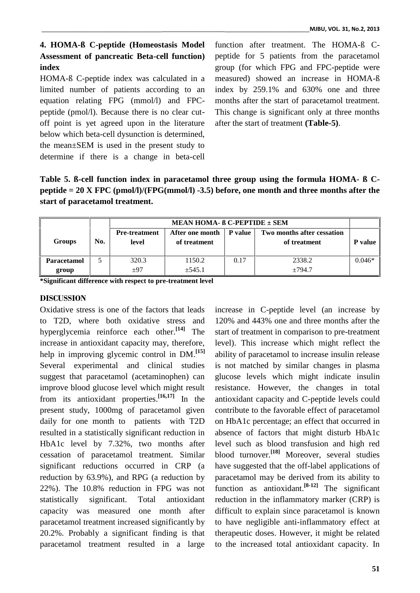# **4. HOMA-ß C-peptide (Homeostasis Model Assessment of pancreatic Beta-cell function) index**

HOMA-ß C-peptide index was calculated in a limited number of patients according to an equation relating FPG (mmol/l) and FPC peptide (pmol/l). Because there is no clear cut off point is yet agreed upon in the literature below which beta-cell dysunction is determined, the mean±SEM is used in the present study to determine if there is a change in beta-cell

function after treatment. The HOMA-ß C peptide for 5 patients from the paracetamol group (for which FPG and FPC-peptide were measured) showed an increase in HOMA-ß index by 259.1% and 630% one and three months after the start of paracetamol treatment. This change is significant only at three months after the start of treatment **(Table-5)**.

**Table 5. ß-cell function index in paracetamol three group using the formula HOMA- ß C peptide = 20 X FPC (pmol/l)/(FPG(mmol/l) -3.5) before, one month and three months after the start of paracetamol treatment.**

|                      |     | MEAN HOMA- $\beta$ C-PEPTIDE $\pm$ SEM |                                 |                |                                            |          |  |
|----------------------|-----|----------------------------------------|---------------------------------|----------------|--------------------------------------------|----------|--|
| Groups               | No. | <b>Pre-treatment</b><br>level          | After one month<br>of treatment | <b>P</b> value | Two months after cessation<br>of treatment | P value  |  |
| Paracetamol<br>group |     | 320.3<br>±97                           | 1150.2<br>±545.1                | 0.17           | 2338.2<br>±794.7                           | $0.046*$ |  |

**\*Significant difference with respect to pre-treatment level**

### **DISCUSSION**

Oxidative stress is one of the factors that leads to T2D, where both oxidative stress and hyperglycemia reinforce each other.<sup>[14]</sup> The start increase in antioxidant capacity may, therefore, help in improving glycemic control in DM.<sup>[15]</sup> a Several experimental and clinical studies suggest that paracetamol (acetaminophen) can improve blood glucose level which might result from its antioxidant properties.<sup>[16,17]</sup> In the antio present study, 1000mg of paracetamol given daily for one month to patients with T2D resulted in a statistically significant reduction in HbA1c level by 7.32%, two months after cessation of paracetamol treatment. Similar significant reductions occurred in CRP (a reduction by 63.9%), and RPG (a reduction by 22%). The 10.8% reduction in FPG was not statistically significant. Total antioxidant capacity was measured one month after paracetamol treatment increased significantly by 20.2%. Probably a significant finding is that paracetamol treatment resulted in a large

increase in C-peptide level (an increase by 120% and 443% one and three months after the start of treatment in comparison to pre-treatment level). This increase which might reflect the ability of paracetamol to increase insulin release is not matched by similar changes in plasma glucose levels which might indicate insulin resistance. However, the changes in total antioxidant capacity and C-peptide levels could contribute to the favorable effect of paracetamol on HbA1c percentage; an effect that occurred in absence of factors that might disturb HbA1c level such as blood transfusion and high red blood turnover. **[18]** Moreover, several studies have suggested that the off-label applications of paracetamol may be derived from its ability to function as antioxidant. **[8-12]** The significant reduction in the inflammatory marker (CRP) is difficult to explain since paracetamol is known to have negligible anti-inflammatory effect at therapeutic doses. However, it might be related to the increased total antioxidant capacity. In